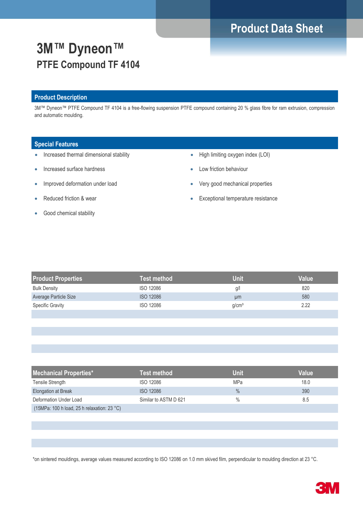# **Product Data Sheet**

# **3M™ Dyneon™ PTFE Compound TF 4104**

### **Product Description**

3M™ Dyneon™ PTFE Compound TF 4104 is a free-flowing suspension PTFE compound containing 20 % glass fibre for ram extrusion, compression and automatic moulding.

#### **Special Features**

- Increased thermal dimensional stability
- Increased surface hardness
- Improved deformation under load
- Reduced friction & wear
- Good chemical stability
- High limiting oxygen index (LOI)
- Low friction behaviour
- Very good mechanical properties
- **Exceptional temperature resistance**

| <b>Product Properties</b> | <b>Test method</b> | <b>Unit</b>       | <b>Value</b> |
|---------------------------|--------------------|-------------------|--------------|
| <b>Bulk Density</b>       | <b>ISO 12086</b>   | g/l               | 820          |
| Average Particle Size     | <b>ISO 12086</b>   | µm                | 580          |
| <b>Specific Gravity</b>   | <b>ISO 12086</b>   | g/cm <sup>3</sup> | 2.22         |
|                           |                    |                   |              |
|                           |                    |                   |              |
|                           |                    |                   |              |
|                           |                    |                   |              |

| <b>Mechanical Properties*</b>                         | Test method           | Unit          | Value |
|-------------------------------------------------------|-----------------------|---------------|-------|
| Tensile Strength                                      | <b>ISO 12086</b>      | MPa           | 18.0  |
| <b>Elongation at Break</b>                            | <b>ISO 12086</b>      | $\frac{0}{0}$ | 390   |
| Deformation Under Load                                | Similar to ASTM D 621 | $\%$          | 8.5   |
| (15MPa: 100 h load, 25 h relaxation: 23 $^{\circ}$ C) |                       |               |       |

\*on sintered mouldings, average values measured according to ISO 12086 on 1.0 mm skived film, perpendicular to moulding direction at 23 °C.

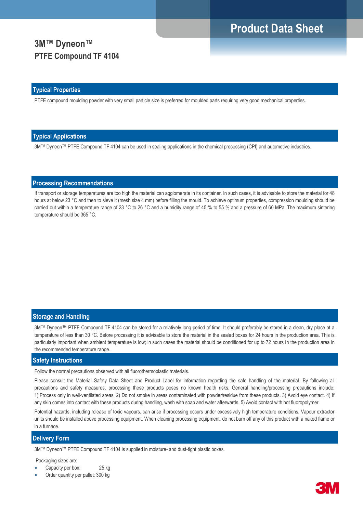## **Product Data Sheet**

## **3M™ Dyneon™ PTFE Compound TF 4104**

#### **Typical Properties**

PTFE compound moulding powder with very small particle size is preferred for moulded parts requiring very good mechanical properties.

#### **Typical Applications**

3M™ Dyneon™ PTFE Compound TF 4104 can be used in sealing applications in the chemical processing (CPI) and automotive industries.

### **Processing Recommendations**

If transport or storage temperatures are too high the material can agglomerate in its container. In such cases, it is advisable to store the material for 48 hours at below 23 °C and then to sieve it (mesh size 4 mm) before filling the mould. To achieve optimum properties, compression moulding should be carried out within a temperature range of 23 °C to 26 °C and a humidity range of 45 % to 55 % and a pressure of 60 MPa. The maximum sintering temperature should be 365 °C.

#### **Storage and Handling**

3M™ Dyneon™ PTFE Compound TF 4104 can be stored for a relatively long period of time. It should preferably be stored in a clean, dry place at a temperature of less than 30 °C. Before processing it is advisable to store the material in the sealed boxes for 24 hours in the production area. This is particularly important when ambient temperature is low; in such cases the material should be conditioned for up to 72 hours in the production area in the recommended temperature range.

#### **Safety Instructions**

Follow the normal precautions observed with all fluorothermoplastic materials.

Please consult the Material Safety Data Sheet and Product Label for information regarding the safe handling of the material. By following all precautions and safety measures, processing these products poses no known health risks. General handling/processing precautions include: 1) Process only in well-ventilated areas. 2) Do not smoke in areas contaminated with powder/residue from these products. 3) Avoid eye contact. 4) If any skin comes into contact with these products during handling, wash with soap and water afterwards. 5) Avoid contact with hot fluoropolymer.

Potential hazards, including release of toxic vapours, can arise if processing occurs under excessively high temperature conditions. Vapour extractor units should be installed above processing equipment. When cleaning processing equipment, do not burn off any of this product with a naked flame or in a furnace.

### **Delivery Form**

3M™ Dyneon™ PTFE Compound TF 4104 is supplied in moisture- and dust-tight plastic boxes.

Packaging sizes are:

- Capacity per box: 25 kg
- Order quantity per pallet: 300 kg